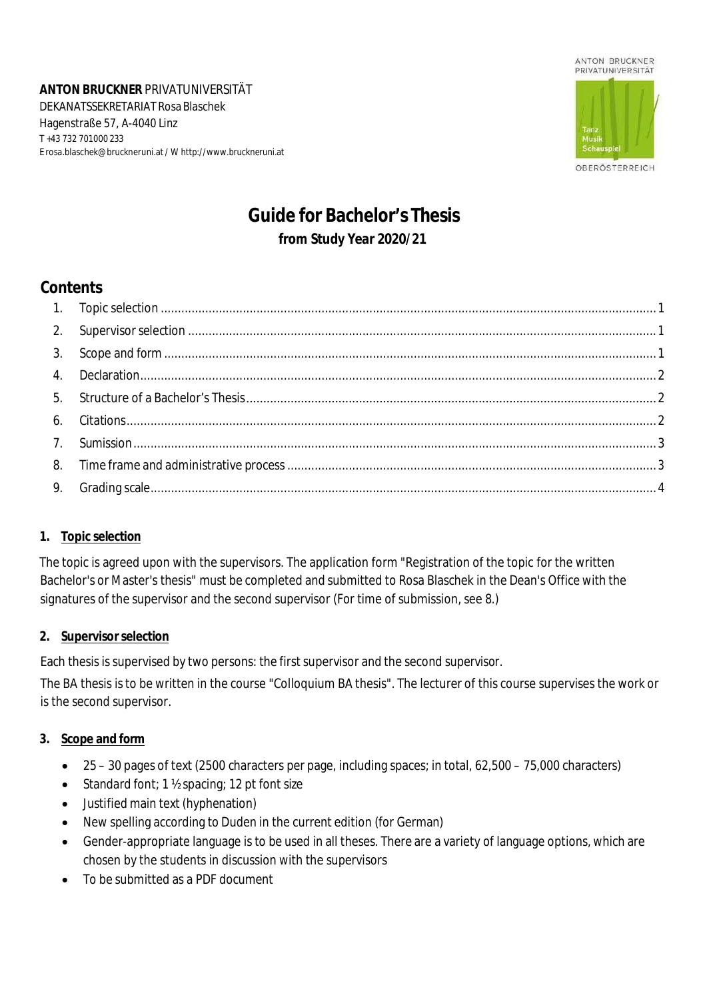**ANTON BRUCKNER** PRIVATUNIVERSITÄT DEKANATSSEKRETARIAT Rosa Blaschek Hagenstraße 57, A-4040 Linz T +43 732 701000 233 E [rosa.blaschek@bruckneruni.at](mailto:rosa.blaschek@bruckneruni.at) / W [http://www.bruckneruni.at](http://www.bruckneruni.at/)



OBERÖSTERREICH

# **Guide for Bachelor's Thesis from Study Year 2020/21**

# **Contents**

#### <span id="page-0-0"></span>**1. Topic selection**

The topic is agreed upon with the supervisors. The application form "Registration of the topic for the written Bachelor's or Master's thesis" must be completed and submitted to Rosa Blaschek in the Dean's Office with the signatures of the supervisor and the second supervisor (For time of submission, see 8.)

## <span id="page-0-1"></span>**2. Supervisor selection**

Each thesis is supervised by two persons: the first supervisor and the second supervisor.

The BA thesis is to be written in the course "Colloquium BA thesis". The lecturer of this course supervises the work or is the second supervisor.

#### <span id="page-0-2"></span>**3. Scope and form**

- 25 30 pages of text (2500 characters per page, including spaces; in total, 62,500 75,000 characters)
- Standard font; 1 ½ spacing; 12 pt font size
- Justified main text (hyphenation)
- New spelling according to Duden in the current edition (for German)
- Gender-appropriate language is to be used in all theses. There are a variety of language options, which are chosen by the students in discussion with the supervisors
- To be submitted as a PDF document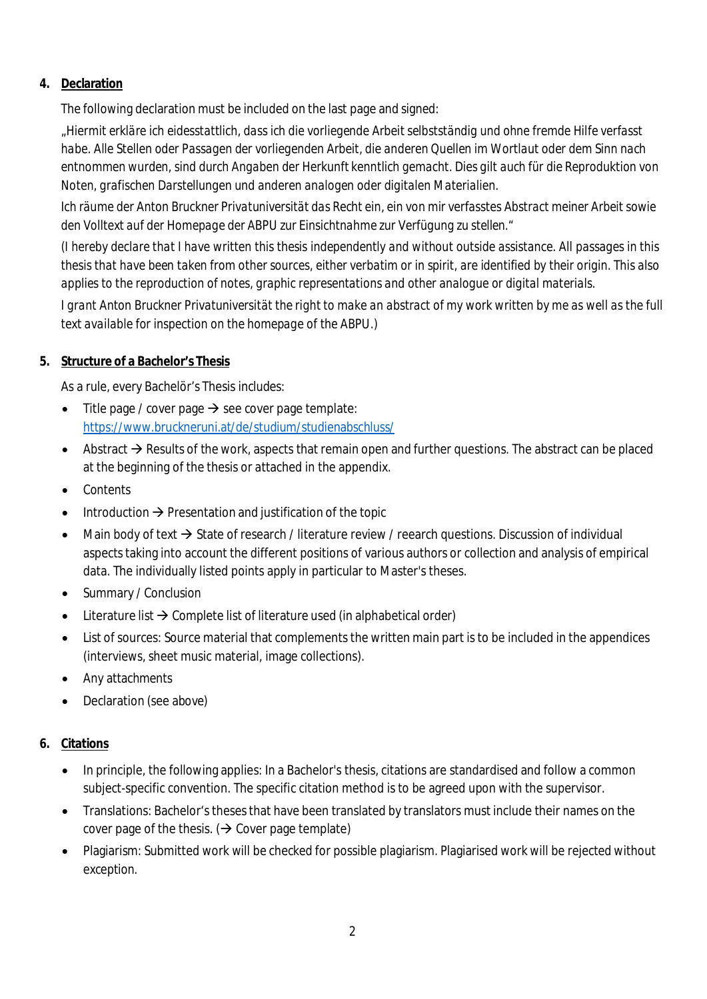## <span id="page-1-0"></span>**4. Declaration**

The following declaration must be included on the last page and signed:

*"Hiermit erkläre ich eidesstattlich, dass ich die vorliegende Arbeit selbstständig und ohne fremde Hilfe verfasst habe. Alle Stellen oder Passagen der vorliegenden Arbeit, die anderen Quellen im Wortlaut oder dem Sinn nach entnommen wurden, sind durch Angaben der Herkunft kenntlich gemacht. Dies gilt auch für die Reproduktion von Noten, grafischen Darstellungen und anderen analogen oder digitalen Materialien.*

*Ich räume der Anton Bruckner Privatuniversität das Recht ein, ein von mir verfasstes Abstract meiner Arbeit sowie den Volltext auf der Homepage der ABPU zur Einsichtnahme zur Verfügung zu stellen."*

*(I hereby declare that I have written this thesis independently and without outside assistance. All passages in this thesis that have been taken from other sources, either verbatim or in spirit, are identified by their origin. This also applies to the reproduction of notes, graphic representations and other analogue or digital materials.*

*I grant Anton Bruckner Privatuniversität the right to make an abstract of my work written by me as well as the full text available for inspection on the homepage of the ABPU.)*

### <span id="page-1-1"></span>**5. Structure of a Bachelor's Thesis**

As a rule, every Bachelör's Thesis includes:

- Title page / cover page  $\rightarrow$  see cover page template: <https://www.bruckneruni.at/de/studium/studienabschluss/>
- Abstract  $\rightarrow$  Results of the work, aspects that remain open and further questions. The abstract can be placed at the beginning of the thesis or attached in the appendix.
- **Contents**
- Introduction  $\rightarrow$  Presentation and justification of the topic
- Main body of text  $\rightarrow$  State of research / literature review / reearch questions. Discussion of individual aspects taking into account the different positions of various authors or collection and analysis of empirical data. The individually listed points apply in particular to Master's theses.
- Summary / Conclusion
- Literature list  $\rightarrow$  Complete list of literature used (in alphabetical order)
- List of sources: Source material that complements the written main part is to be included in the appendices (interviews, sheet music material, image collections).
- Any attachments
- Declaration (see above)

## <span id="page-1-2"></span>**6. Citations**

- In principle, the following applies: In a Bachelor's thesis, citations are standardised and follow a common subject-specific convention. The specific citation method is to be agreed upon with the supervisor.
- Translations: Bachelor's theses that have been translated by translators must include their names on the cover page of the thesis. ( $\rightarrow$  Cover page template)
- Plagiarism: Submitted work will be checked for possible plagiarism. Plagiarised work will be rejected without exception.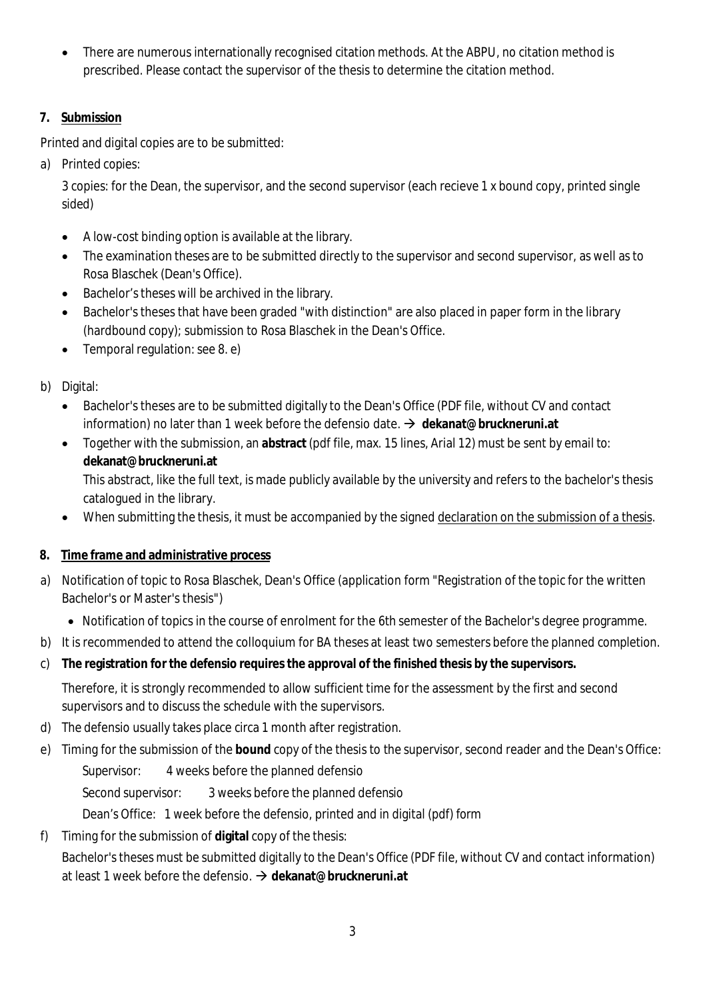There are numerous internationally recognised citation methods. At the ABPU, no citation method is prescribed. Please contact the supervisor of the thesis to determine the citation method.

## <span id="page-2-0"></span>**7. Submission**

Printed and digital copies are to be submitted:

a) Printed copies:

3 copies: for the Dean, the supervisor, and the second supervisor (each recieve 1 x bound copy, printed single sided)

- A low-cost binding option is available at the library.
- The examination theses are to be submitted directly to the supervisor and second supervisor, as well as to Rosa Blaschek (Dean's Office).
- Bachelor's theses will be archived in the library.
- Bachelor's theses that have been graded "with distinction" are also placed in paper form in the library (hardbound copy); submission to Rosa Blaschek in the Dean's Office.
- Temporal regulation: see 8. e)
- b) Digital:
	- Bachelor's theses are to be submitted digitally to the Dean's Office (PDF file, without CV and contact information) no later than 1 week before the defensio date. **[dekanat@bruckneruni.at](mailto:dekanat@bruckneruni.at)**
	- Together with the submission, an **abstract** (pdf file, max. 15 lines, Arial 12) must be sent by email to: **[dekanat@bruckneruni.at](mailto:dekanat@bruckneruni.at)**

This abstract, like the full text, is made publicly available by the university and refers to the bachelor's thesis catalogued in the library.

- When submitting the thesis, it must be accompanied by the signed declaration on the submission of a thesis.
- <span id="page-2-1"></span>**8. Time frame and administrative process**
- a) Notification of topic to Rosa Blaschek, Dean's Office (application form "Registration of the topic for the written Bachelor's or Master's thesis")
	- Notification of topics in the course of enrolment for the 6th semester of the Bachelor's degree programme.
- b) It is recommended to attend the colloquium for BA theses at least two semesters before the planned completion.
- c) **The registration for the defensio requires the approval of the finished thesis by the supervisors.**

Therefore, it is strongly recommended to allow sufficient time for the assessment by the first and second supervisors and to discuss the schedule with the supervisors.

- d) The defensio usually takes place circa 1 month after registration.
- e) Timing for the submission of the **bound** copy of the thesis to the supervisor, second reader and the Dean's Office:

Supervisor: 4 weeks before the planned defensio

Second supervisor: 3 weeks before the planned defensio

Dean's Office: 1 week before the defensio, printed and in digital (pdf) form

f) Timing for the submission of **digital** copy of the thesis:

Bachelor's theses must be submitted digitally to the Dean's Office (PDF file, without CV and contact information) at least 1 week before the defensio. **[dekanat@bruckneruni.at](mailto:dekanat@bruckneruni.at)**